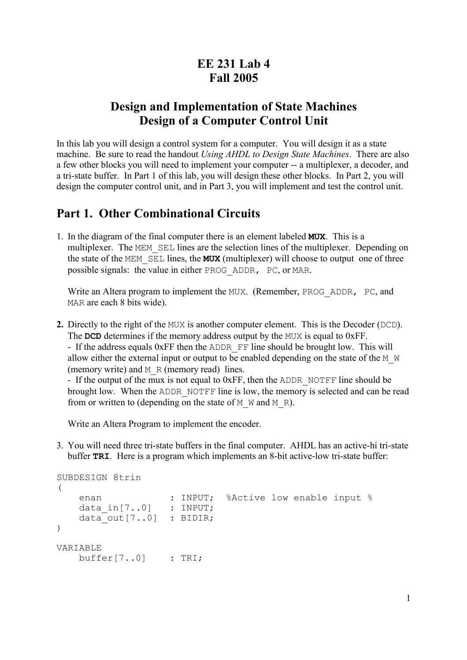# **EE 231 Lab 4 Fall 2005**

## **Design and Implementation of State Machines Design of a Computer Control Unit**

In this lab you will design a control system for a computer. You will design it as a state machine. Be sure to read the handout *Using AHDL to Design State Machines*. There are also a few other blocks you will need to implement your computer -- a multiplexer, a decoder, and a tri-state buffer. In Part 1 of this lab, you will design these other blocks. In Part 2, you will design the computer control unit, and in Part 3, you will implement and test the control unit.

### **Part 1. Other Combinational Circuits**

1. In the diagram of the final computer there is an element labeled **MUX**. This is a multiplexer. The MEM SEL lines are the selection lines of the multiplexer. Depending on the state of the MEM\_SEL lines, the **MUX** (multiplexer) will choose to output one of three possible signals: the value in either PROG\_ADDR, PC, or MAR.

Write an Altera program to implement the MUX. (Remember, PROG\_ADDR, PC, and MAR are each 8 bits wide).

**2.** Directly to the right of the MUX is another computer element. This is the Decoder (DCD). The **DCD** determines if the memory address output by the MUX is equal to 0xFF.

- If the address equals 0xFF then the ADDR FF line should be brought low. This will allow either the external input or output to be enabled depending on the state of the M  $\mathbb W$ (memory write) and  $M \R$  (memory read) lines.

- If the output of the mux is not equal to  $0xFF$ , then the ADDR NOTFF line should be brought low. When the ADDR\_NOTFF line is low, the memory is selected and can be read from or written to (depending on the state of  $M$  W and M R).

Write an Altera Program to implement the encoder.

3. You will need three tri-state buffers in the final computer. AHDL has an active-hi tri-state buffer **TRI**. Here is a program which implements an 8-bit active-low tri-state buffer:

```
SUBDESIGN 8trin
( 
enan \cdot : INPUT; %Active low enable input %
 data_in[7..0] : INPUT; 
   data out [7..0] : BIDIR;
)
VARIABLE 
    buffer[7..0] : TRI;
```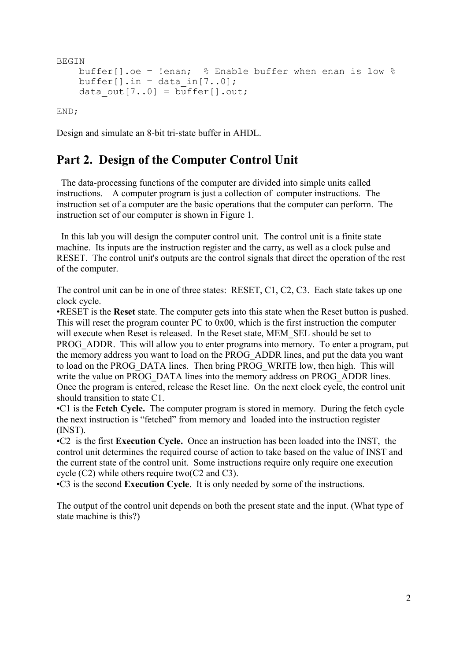```
BEGIN
     buffer[].oe = !enan; % Enable buffer when enan is low %
    buffer[].in = data in[7..0];
    data out [7..0] = \overline{\text{buffer}}[].out;
```
END;

Design and simulate an 8-bit tri-state buffer in AHDL.

## **Part 2. Design of the Computer Control Unit**

 The data-processing functions of the computer are divided into simple units called instructions. A computer program is just a collection of computer instructions. The instruction set of a computer are the basic operations that the computer can perform. The instruction set of our computer is shown in Figure 1.

 In this lab you will design the computer control unit. The control unit is a finite state machine. Its inputs are the instruction register and the carry, as well as a clock pulse and RESET. The control unit's outputs are the control signals that direct the operation of the rest of the computer.

The control unit can be in one of three states: RESET, C1, C2, C3. Each state takes up one clock cycle.

•RESET is the **Reset** state. The computer gets into this state when the Reset button is pushed. This will reset the program counter PC to 0x00, which is the first instruction the computer will execute when Reset is released. In the Reset state, MEM\_SEL should be set to PROG ADDR. This will allow you to enter programs into memory. To enter a program, put the memory address you want to load on the PROG\_ADDR lines, and put the data you want to load on the PROG\_DATA lines. Then bring PROG\_WRITE low, then high. This will write the value on PROG\_DATA lines into the memory address on PROG\_ADDR lines. Once the program is entered, release the Reset line. On the next clock cycle, the control unit should transition to state C1.

•C1 is the **Fetch Cycle.** The computer program is stored in memory. During the fetch cycle the next instruction is "fetched" from memory and loaded into the instruction register (INST).

•C2 is the first **Execution Cycle.** Once an instruction has been loaded into the INST, the control unit determines the required course of action to take based on the value of INST and the current state of the control unit. Some instructions require only require one execution cycle (C2) while others require two(C2 and C3).

•C3 is the second **Execution Cycle**. It is only needed by some of the instructions.

The output of the control unit depends on both the present state and the input. (What type of state machine is this?)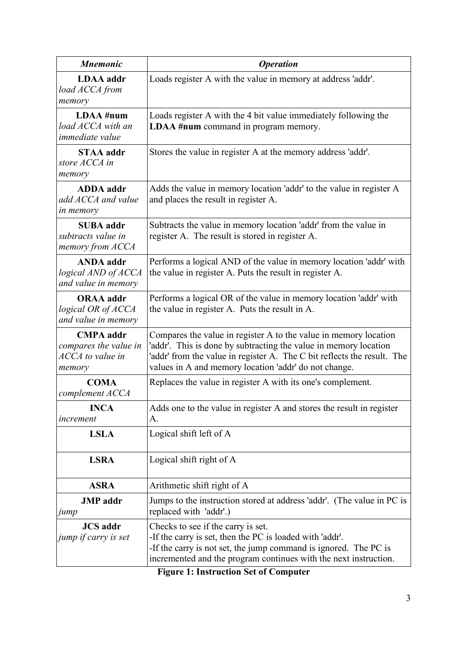| <b>Mnemonic</b>                                                         | <b>Operation</b>                                                                                                                                                                                                                                                         |  |
|-------------------------------------------------------------------------|--------------------------------------------------------------------------------------------------------------------------------------------------------------------------------------------------------------------------------------------------------------------------|--|
| <b>LDAA</b> addr<br>load ACCA from<br>memory                            | Loads register A with the value in memory at address 'addr'.                                                                                                                                                                                                             |  |
| LDAA #num<br>load ACCA with an<br>immediate value                       | Loads register A with the 4 bit value immediately following the<br><b>LDAA</b> #num command in program memory.                                                                                                                                                           |  |
| <b>STAA</b> addr<br>store ACCA in<br>memory                             | Stores the value in register A at the memory address 'addr'.                                                                                                                                                                                                             |  |
| <b>ADDA</b> addr<br>add ACCA and value<br><i>in memory</i>              | Adds the value in memory location 'addr' to the value in register A<br>and places the result in register A.                                                                                                                                                              |  |
| <b>SUBA</b> addr<br>subtracts value in<br>memory from ACCA              | Subtracts the value in memory location 'addr' from the value in<br>register A. The result is stored in register A.                                                                                                                                                       |  |
| <b>ANDA</b> addr<br>logical AND of ACCA<br>and value in memory          | Performs a logical AND of the value in memory location 'addr' with<br>the value in register A. Puts the result in register A.                                                                                                                                            |  |
| <b>ORAA</b> addr<br>logical OR of ACCA<br>and value in memory           | Performs a logical OR of the value in memory location 'addr' with<br>the value in register A. Puts the result in A.                                                                                                                                                      |  |
| <b>CMPA</b> addr<br>compares the value in<br>ACCA to value in<br>memory | Compares the value in register A to the value in memory location<br>'addr'. This is done by subtracting the value in memory location<br>'addr' from the value in register A. The C bit reflects the result. The<br>values in A and memory location 'addr' do not change. |  |
| <b>COMA</b><br>complement ACCA                                          | Replaces the value in register A with its one's complement.                                                                                                                                                                                                              |  |
| <b>INCA</b><br>increment                                                | Adds one to the value in register A and stores the result in register<br>А.                                                                                                                                                                                              |  |
| <b>LSLA</b>                                                             | Logical shift left of A                                                                                                                                                                                                                                                  |  |
| <b>LSRA</b>                                                             | Logical shift right of A                                                                                                                                                                                                                                                 |  |
| <b>ASRA</b>                                                             | Arithmetic shift right of A                                                                                                                                                                                                                                              |  |
| <b>JMP</b> addr<br>jump                                                 | Jumps to the instruction stored at address 'addr'. (The value in PC is<br>replaced with 'addr'.)                                                                                                                                                                         |  |
| <b>JCS</b> addr<br>jump if carry is set                                 | Checks to see if the carry is set.<br>-If the carry is set, then the PC is loaded with 'addr'.<br>-If the carry is not set, the jump command is ignored. The PC is<br>incremented and the program continues with the next instruction.                                   |  |

**Figure 1: Instruction Set of Computer**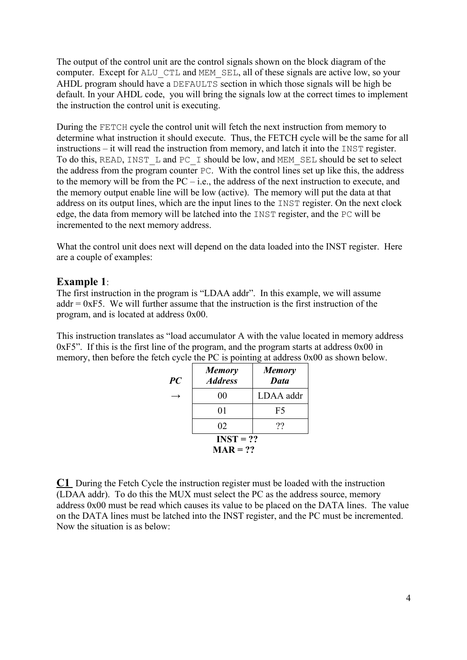The output of the control unit are the control signals shown on the block diagram of the computer. Except for ALU CTL and MEM SEL, all of these signals are active low, so your AHDL program should have a DEFAULTS section in which those signals will be high be default. In your AHDL code, you will bring the signals low at the correct times to implement the instruction the control unit is executing.

During the FETCH cycle the control unit will fetch the next instruction from memory to determine what instruction it should execute. Thus, the FETCH cycle will be the same for all instructions – it will read the instruction from memory, and latch it into the INST register. To do this, READ, INST L and PC I should be low, and MEM SEL should be set to select the address from the program counter PC. With the control lines set up like this, the address to the memory will be from the  $PC - i.e.,$  the address of the next instruction to execute, and the memory output enable line will be low (active). The memory will put the data at that address on its output lines, which are the input lines to the INST register. On the next clock edge, the data from memory will be latched into the INST register, and the PC will be incremented to the next memory address.

What the control unit does next will depend on the data loaded into the INST register. Here are a couple of examples:

### **Example 1**:

The first instruction in the program is "LDAA addr". In this example, we will assume addr  $= 0xF5$ . We will further assume that the instruction is the first instruction of the program, and is located at address 0x00.

This instruction translates as "load accumulator A with the value located in memory address 0xF5". If this is the first line of the program, and the program starts at address 0x00 in memory, then before the fetch cycle the PC is pointing at address 0x00 as shown below.

| PC          | <b>Memory</b><br><b>Address</b> | <b>Memory</b><br><b>Data</b> |
|-------------|---------------------------------|------------------------------|
|             | 00                              | LDAA addr                    |
|             | 01                              | F5                           |
|             | 02                              | ??                           |
| $INST = ??$ |                                 |                              |
| $MAR = ??$  |                                 |                              |

**C1** During the Fetch Cycle the instruction register must be loaded with the instruction (LDAA addr). To do this the MUX must select the PC as the address source, memory address 0x00 must be read which causes its value to be placed on the DATA lines. The value on the DATA lines must be latched into the INST register, and the PC must be incremented. Now the situation is as below: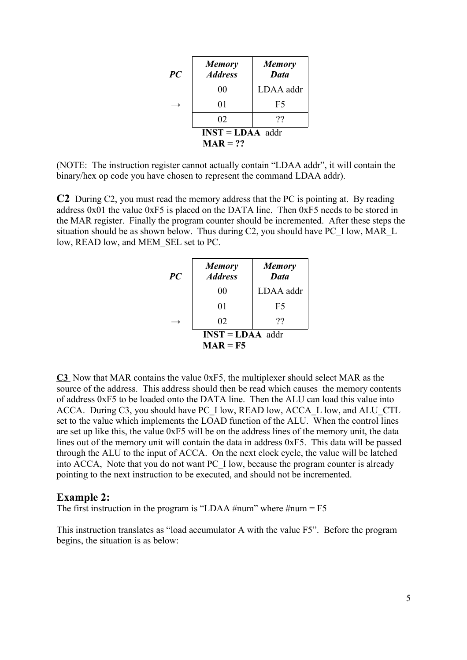| PC                 | <b>Memory</b><br><b>Address</b> | <b>Memory</b><br><b>Data</b> |
|--------------------|---------------------------------|------------------------------|
|                    | 00                              | LDAA addr                    |
|                    | 01                              | F5                           |
|                    | 02                              | ??                           |
| $INST = LDAA$ addr |                                 |                              |
| $MAR = ??$         |                                 |                              |

(NOTE: The instruction register cannot actually contain "LDAA addr", it will contain the binary/hex op code you have chosen to represent the command LDAA addr).

**C2** During C2, you must read the memory address that the PC is pointing at. By reading address 0x01 the value 0xF5 is placed on the DATA line. Then 0xF5 needs to be stored in the MAR register. Finally the program counter should be incremented. After these steps the situation should be as shown below. Thus during C2, you should have PC\_I low, MAR\_L low, READ low, and MEM\_SEL set to PC.

| PC                 | <b>Memory</b><br><b>Address</b> | <b>Memory</b><br>Data |
|--------------------|---------------------------------|-----------------------|
|                    | 00                              | LDAA addr             |
|                    | 01                              | F5                    |
|                    | 02                              | ??                    |
| $INST = LDAA$ addr |                                 |                       |
| $MAR = F5$         |                                 |                       |

**C3** Now that MAR contains the value 0xF5, the multiplexer should select MAR as the source of the address. This address should then be read which causes the memory contents of address 0xF5 to be loaded onto the DATA line. Then the ALU can load this value into ACCA. During C3, you should have PC\_I low, READ low, ACCA\_L low, and ALU\_CTL set to the value which implements the LOAD function of the ALU. When the control lines are set up like this, the value 0xF5 will be on the address lines of the memory unit, the data lines out of the memory unit will contain the data in address 0xF5. This data will be passed through the ALU to the input of ACCA. On the next clock cycle, the value will be latched into ACCA, Note that you do not want PC\_I low, because the program counter is already pointing to the next instruction to be executed, and should not be incremented.

#### **Example 2:**

The first instruction in the program is "LDAA #num" where #num =  $F5$ 

This instruction translates as "load accumulator A with the value F5". Before the program begins, the situation is as below: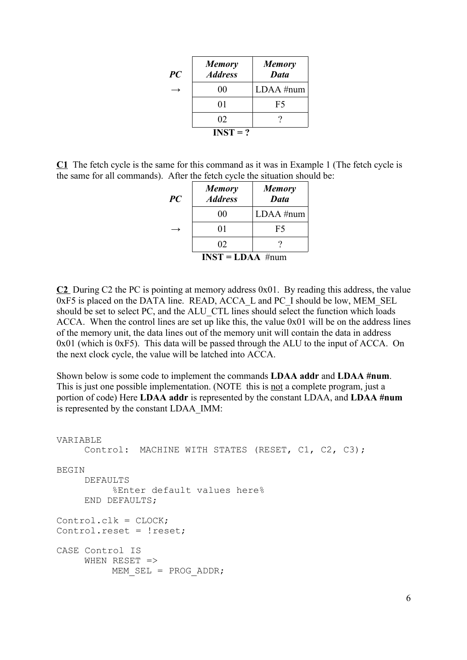| PC | <b>Memory</b><br><b>Address</b> | <b>Memory</b><br><b>Data</b> |
|----|---------------------------------|------------------------------|
|    | 00                              | $LDAA$ #num                  |
|    | 01                              | F5                           |
|    | 02                              |                              |
|    | $INST = ?$                      |                              |

**C1** The fetch cycle is the same for this command as it was in Example 1 (The fetch cycle is the same for all commands). After the fetch cycle the situation should be:

| PC                 | <b>Memory</b><br><b>Address</b> | <b>Memory</b><br>Data |
|--------------------|---------------------------------|-----------------------|
|                    | 00                              | $LDAA$ #num           |
|                    | 01                              | F5                    |
|                    | 02                              |                       |
| $INST = LDAA$ #num |                                 |                       |

**C2** During C2 the PC is pointing at memory address 0x01. By reading this address, the value 0xF5 is placed on the DATA line. READ, ACCA\_L and PC\_I should be low, MEM\_SEL should be set to select PC, and the ALU\_CTL lines should select the function which loads ACCA. When the control lines are set up like this, the value 0x01 will be on the address lines of the memory unit, the data lines out of the memory unit will contain the data in address 0x01 (which is 0xF5). This data will be passed through the ALU to the input of ACCA. On the next clock cycle, the value will be latched into ACCA.

Shown below is some code to implement the commands **LDAA addr** and **LDAA #num**. This is just one possible implementation. (NOTE this is not a complete program, just a portion of code) Here **LDAA addr** is represented by the constant LDAA, and **LDAA #num** is represented by the constant LDAA\_IMM:

```
VARIABLE
    Control: MACHINE WITH STATES (RESET, C1, C2, C3);
BEGIN
    DEFAULTS
         %Enter default values here%
    END DEFAULTS;
Control.clk = CLOCK;
Control.reset = !reset;
CASE Control IS
    WHEN RESET =>
        MEM SEL = PROG ADDR;
```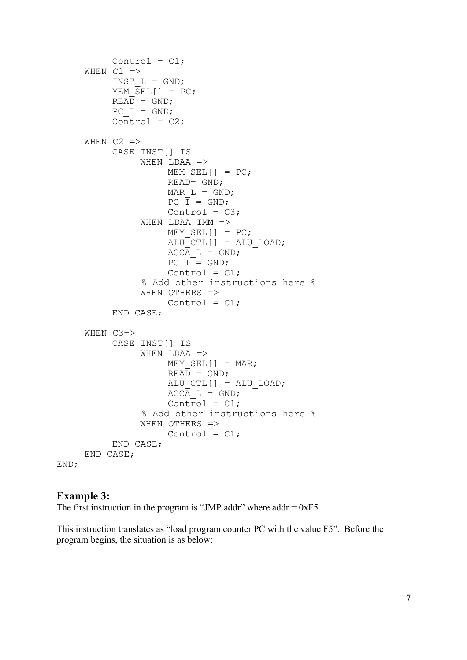```
Control = C1;
      WHEN C1 =>
            INST L = GND;MEM \overline{\text{SEL}} \begin{bmatrix} 1 & = & \text{PC} \end{bmatrix}READ = GND;PC I = GND;Control = C2;
      WHEN C2 \RightarrowCASE INST[] IS 
                   WHEN LDAA \RightarrowMEM SEL[] = PC;
                         READ = GND;MAR L = GND;PC\ \overline{I} = GND;\bar{\text{Control}} = \text{C3};WHEN LDAA IMM =>
                         MEM \overline{SEL}[] = PC;
                         ALU CTL[] = ALU LOAD;
                         ACCA L = GND;PC I = GND;\overline{\text{Control}} = \text{Cl};
                    % Add other instructions here %
                   WHEN OTHERS =>
                         Control = C1;
            END CASE;
      WHEN C3=>
            CASE INST[] IS
                   WHEN LDAA =>
                        MEM SEL[] = \text{MAR};READ = GND;ALU CTL[] = ALU LOAD;
                         ACCA L = GND;
                         Control = C1; % Add other instructions here %
                   WHEN OTHERS =>
                         Control = C1;
            END CASE;
      END CASE;
END;
```
#### **Example 3:**

The first instruction in the program is "JMP addr" where addr  $= 0xF5$ 

This instruction translates as "load program counter PC with the value F5". Before the program begins, the situation is as below: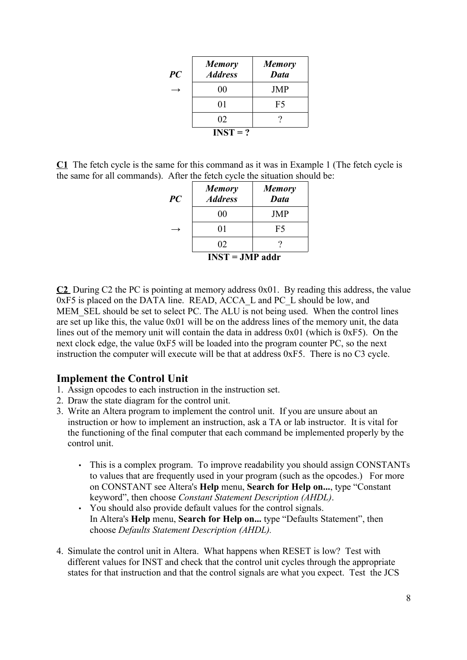| PC | <b>Memory</b><br><b>Address</b> | <b>Memory</b><br><b>Data</b> |
|----|---------------------------------|------------------------------|
|    | 00                              | <b>JMP</b>                   |
|    | 01                              | F5                           |
|    | 02                              |                              |
|    | $INST = ?$                      |                              |

**C1** The fetch cycle is the same for this command as it was in Example 1 (The fetch cycle is the same for all commands). After the fetch cycle the situation should be:

| PC                | <b>Memory</b><br><b>Address</b> | <b>Memory</b><br>Data |
|-------------------|---------------------------------|-----------------------|
|                   | 00                              | <b>JMP</b>            |
|                   | 01                              | F5                    |
|                   | 02                              |                       |
| $INST = JMP$ addr |                                 |                       |

**C2** During C2 the PC is pointing at memory address 0x01. By reading this address, the value 0xF5 is placed on the DATA line. READ, ACCA\_L and PC\_L should be low, and MEM SEL should be set to select PC. The ALU is not being used. When the control lines are set up like this, the value 0x01 will be on the address lines of the memory unit, the data lines out of the memory unit will contain the data in address 0x01 (which is 0xF5). On the next clock edge, the value 0xF5 will be loaded into the program counter PC, so the next instruction the computer will execute will be that at address 0xF5. There is no C3 cycle.

### **Implement the Control Unit**

- 1. Assign opcodes to each instruction in the instruction set.
- 2. Draw the state diagram for the control unit.
- 3. Write an Altera program to implement the control unit. If you are unsure about an instruction or how to implement an instruction, ask a TA or lab instructor. It is vital for the functioning of the final computer that each command be implemented properly by the control unit.
	- This is a complex program. To improve readability you should assign CONSTANTs to values that are frequently used in your program (such as the opcodes.) For more on CONSTANT see Altera's **Help** menu, **Search for Help on...**, type "Constant keyword", then choose *Constant Statement Description (AHDL)*.
	- You should also provide default values for the control signals. In Altera's **Help** menu, **Search for Help on...** type "Defaults Statement", then choose *Defaults Statement Description (AHDL).*
- 4. Simulate the control unit in Altera. What happens when RESET is low? Test with different values for INST and check that the control unit cycles through the appropriate states for that instruction and that the control signals are what you expect. Test the JCS